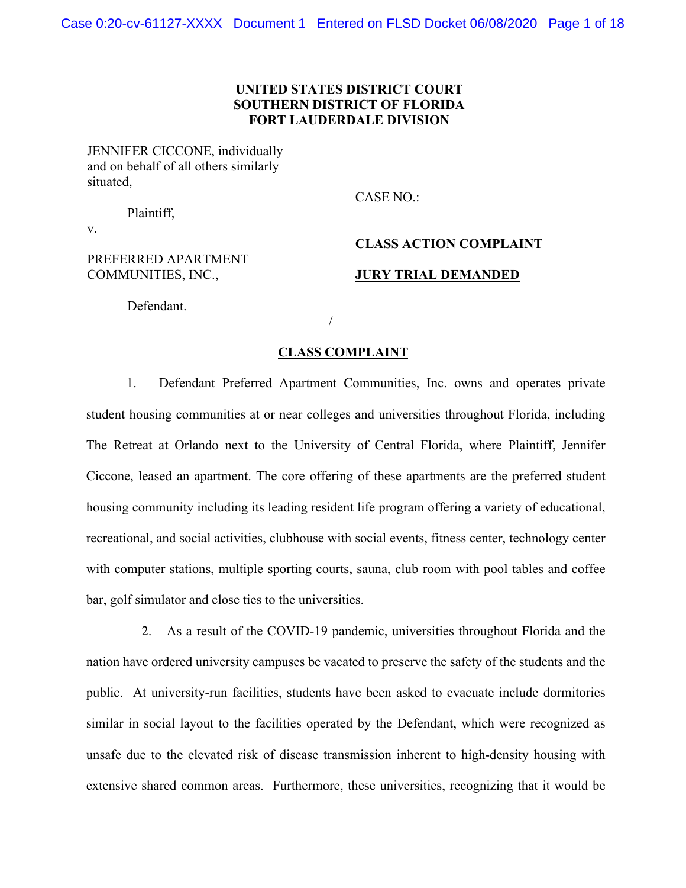## **UNITED STATES DISTRICT COURT SOUTHERN DISTRICT OF FLORIDA FORT LAUDERDALE DIVISION**

JENNIFER CICCONE, individually and on behalf of all others similarly situated,

CASE NO.:

Plaintiff,

v.

## PREFERRED APARTMENT COMMUNITIES, INC.,

## **CLASS ACTION COMPLAINT**

## **JURY TRIAL DEMANDED**

Defendant.

/

## **CLASS COMPLAINT**

1. Defendant Preferred Apartment Communities, Inc. owns and operates private student housing communities at or near colleges and universities throughout Florida, including The Retreat at Orlando next to the University of Central Florida, where Plaintiff, Jennifer Ciccone, leased an apartment. The core offering of these apartments are the preferred student housing community including its leading resident life program offering a variety of educational, recreational, and social activities, clubhouse with social events, fitness center, technology center with computer stations, multiple sporting courts, sauna, club room with pool tables and coffee bar, golf simulator and close ties to the universities.

2. As a result of the COVID-19 pandemic, universities throughout Florida and the nation have ordered university campuses be vacated to preserve the safety of the students and the public. At university-run facilities, students have been asked to evacuate include dormitories similar in social layout to the facilities operated by the Defendant, which were recognized as unsafe due to the elevated risk of disease transmission inherent to high-density housing with extensive shared common areas. Furthermore, these universities, recognizing that it would be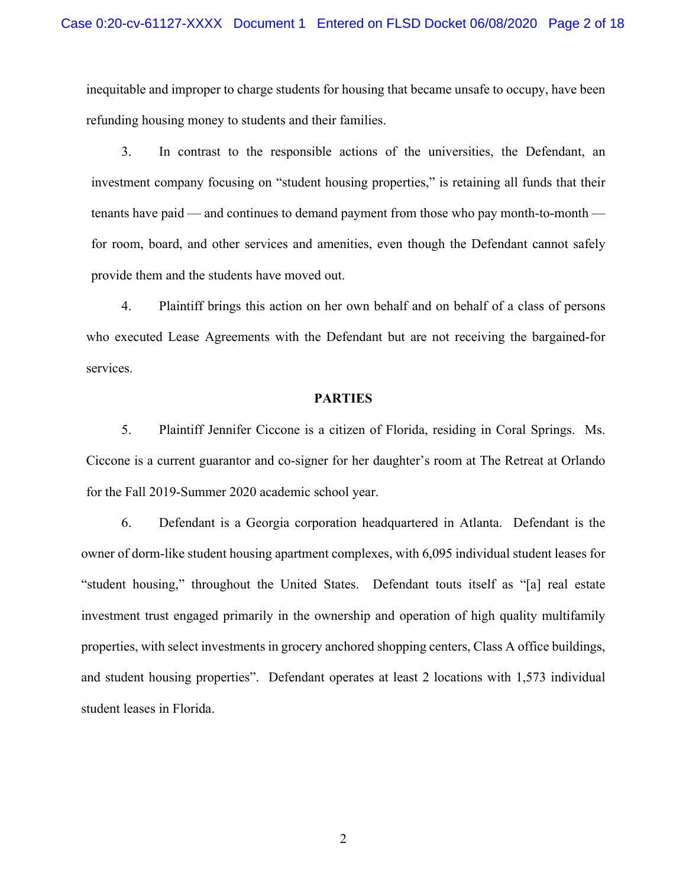inequitable and improper to charge students for housing that became unsafe to occupy, have been refunding housing money to students and their families.

3. In contrast to the responsible actions of the universities, the Defendant, an investment company focusing on "student housing properties," is retaining all funds that their tenants have paid — and continues to demand payment from those who pay month-to-month for room, board, and other services and amenities, even though the Defendant cannot safely provide them and the students have moved out.

4. Plaintiff brings this action on her own behalf and on behalf of a class of persons who executed Lease Agreements with the Defendant but are not receiving the bargained-for services.

#### **PARTIES**

5. Plaintiff Jennifer Ciccone is a citizen of Florida, residing in Coral Springs. Ms. Ciccone is a current guarantor and co-signer for her daughter's room at The Retreat at Orlando for the Fall 2019-Summer 2020 academic school year.

6. Defendant is a Georgia corporation headquartered in Atlanta. Defendant is the owner of dorm-like student housing apartment complexes, with 6,095 individual student leases for "student housing," throughout the United States. Defendant touts itself as "[a] real estate investment trust engaged primarily in the ownership and operation of high quality multifamily properties, with select investments in grocery anchored shopping centers, Class A office buildings, and student housing properties". Defendant operates at least 2 locations with 1,573 individual student leases in Florida.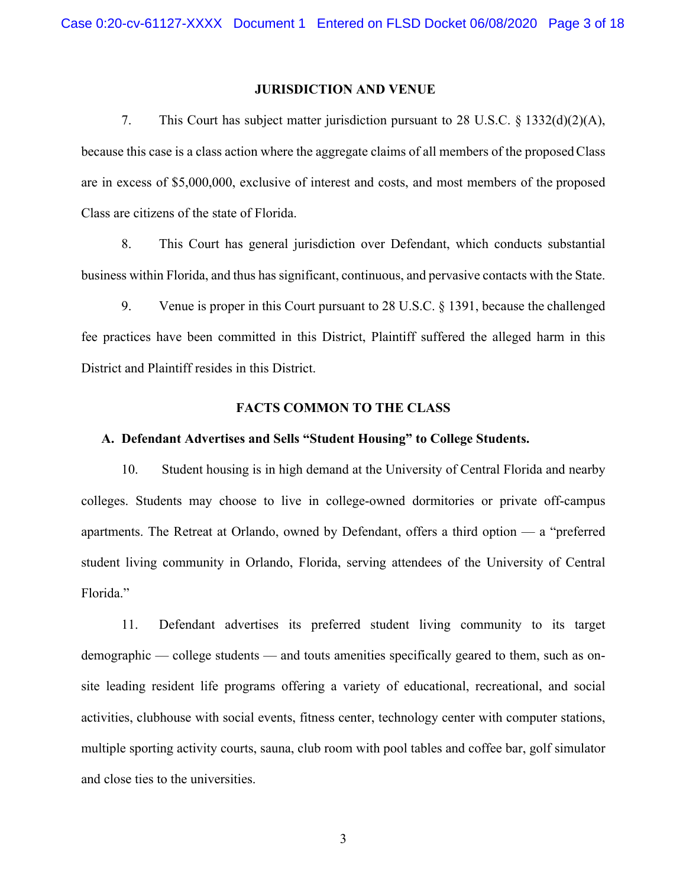#### **JURISDICTION AND VENUE**

7. This Court has subject matter jurisdiction pursuant to 28 U.S.C. § 1332(d)(2)(A), because this case is a class action where the aggregate claims of all members of the proposedClass are in excess of \$5,000,000, exclusive of interest and costs, and most members of the proposed Class are citizens of the state of Florida.

8. This Court has general jurisdiction over Defendant, which conducts substantial business within Florida, and thus has significant, continuous, and pervasive contacts with the State.

9. Venue is proper in this Court pursuant to 28 U.S.C. § 1391, because the challenged fee practices have been committed in this District, Plaintiff suffered the alleged harm in this District and Plaintiff resides in this District.

## **FACTS COMMON TO THE CLASS**

## **A. Defendant Advertises and Sells "Student Housing" to College Students.**

10. Student housing is in high demand at the University of Central Florida and nearby colleges. Students may choose to live in college-owned dormitories or private off-campus apartments. The Retreat at Orlando, owned by Defendant, offers a third option — a "preferred student living community in Orlando, Florida, serving attendees of the University of Central Florida."

11. Defendant advertises its preferred student living community to its target demographic — college students — and touts amenities specifically geared to them, such as onsite leading resident life programs offering a variety of educational, recreational, and social activities, clubhouse with social events, fitness center, technology center with computer stations, multiple sporting activity courts, sauna, club room with pool tables and coffee bar, golf simulator and close ties to the universities.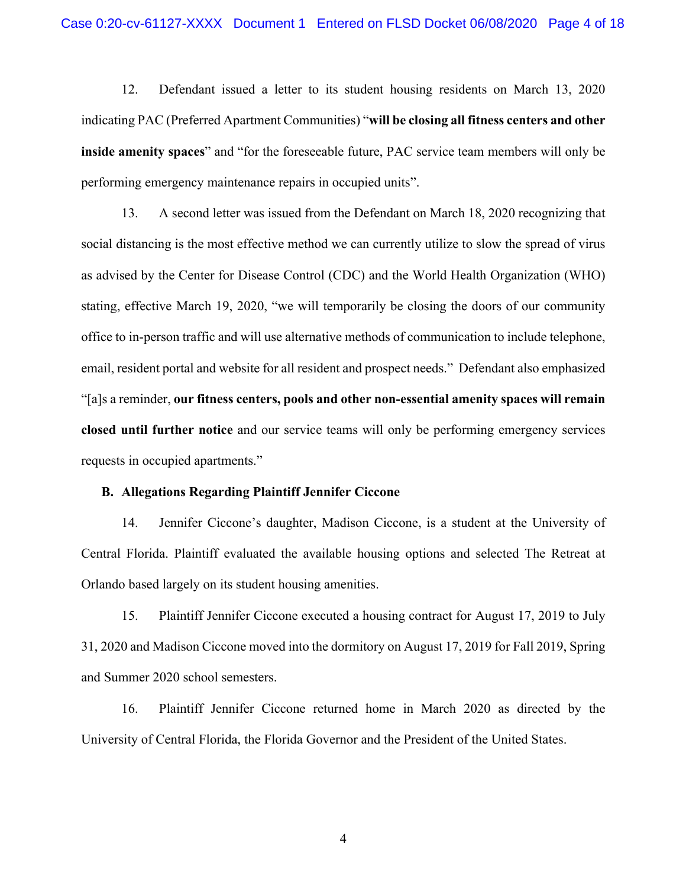12. Defendant issued a letter to its student housing residents on March 13, 2020 indicating PAC (Preferred Apartment Communities) "**will be closing all fitness centers and other inside amenity spaces**" and "for the foreseeable future, PAC service team members will only be performing emergency maintenance repairs in occupied units".

13. A second letter was issued from the Defendant on March 18, 2020 recognizing that social distancing is the most effective method we can currently utilize to slow the spread of virus as advised by the Center for Disease Control (CDC) and the World Health Organization (WHO) stating, effective March 19, 2020, "we will temporarily be closing the doors of our community office to in-person traffic and will use alternative methods of communication to include telephone, email, resident portal and website for all resident and prospect needs." Defendant also emphasized "[a]s a reminder, **our fitness centers, pools and other non-essential amenity spaces will remain closed until further notice** and our service teams will only be performing emergency services requests in occupied apartments."

#### **B. Allegations Regarding Plaintiff Jennifer Ciccone**

14. Jennifer Ciccone's daughter, Madison Ciccone, is a student at the University of Central Florida. Plaintiff evaluated the available housing options and selected The Retreat at Orlando based largely on its student housing amenities.

15. Plaintiff Jennifer Ciccone executed a housing contract for August 17, 2019 to July 31, 2020 and Madison Ciccone moved into the dormitory on August 17, 2019 for Fall 2019, Spring and Summer 2020 school semesters.

16. Plaintiff Jennifer Ciccone returned home in March 2020 as directed by the University of Central Florida, the Florida Governor and the President of the United States.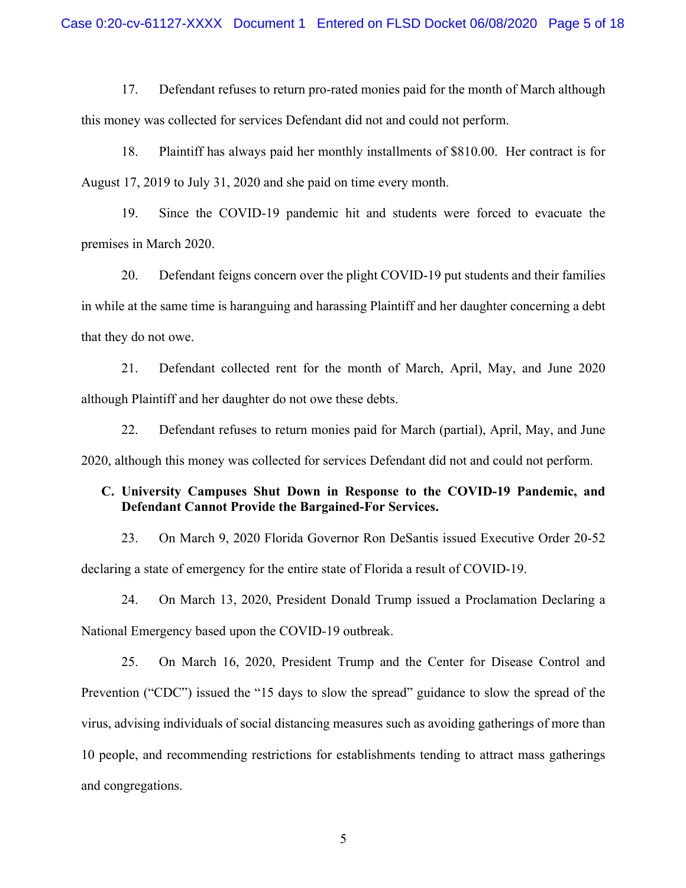17. Defendant refuses to return pro-rated monies paid for the month of March although this money was collected for services Defendant did not and could not perform.

18. Plaintiff has always paid her monthly installments of \$810.00. Her contract is for August 17, 2019 to July 31, 2020 and she paid on time every month.

19. Since the COVID-19 pandemic hit and students were forced to evacuate the premises in March 2020.

20. Defendant feigns concern over the plight COVID-19 put students and their families in while at the same time is haranguing and harassing Plaintiff and her daughter concerning a debt that they do not owe.

21. Defendant collected rent for the month of March, April, May, and June 2020 although Plaintiff and her daughter do not owe these debts.

22. Defendant refuses to return monies paid for March (partial), April, May, and June 2020, although this money was collected for services Defendant did not and could not perform.

## **C. University Campuses Shut Down in Response to the COVID-19 Pandemic, and Defendant Cannot Provide the Bargained-For Services.**

23. On March 9, 2020 Florida Governor Ron DeSantis issued Executive Order 20-52 declaring a state of emergency for the entire state of Florida a result of COVID-19.

24. On March 13, 2020, President Donald Trump issued a Proclamation Declaring a National Emergency based upon the COVID-19 outbreak.

25. On March 16, 2020, President Trump and the Center for Disease Control and Prevention ("CDC") issued the "15 days to slow the spread" guidance to slow the spread of the virus, advising individuals of social distancing measures such as avoiding gatherings of more than 10 people, and recommending restrictions for establishments tending to attract mass gatherings and congregations.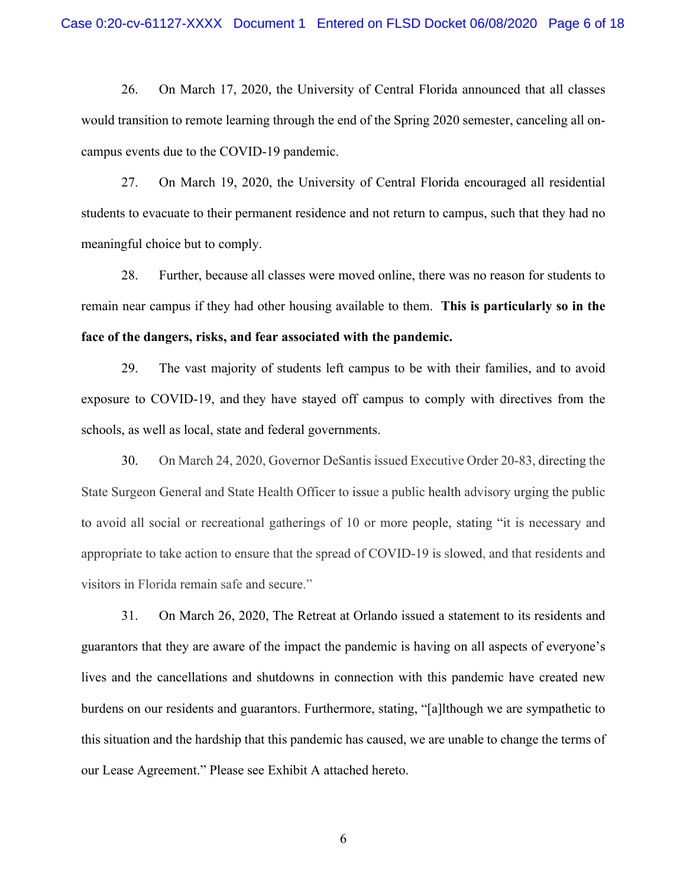26. On March 17, 2020, the University of Central Florida announced that all classes would transition to remote learning through the end of the Spring 2020 semester, canceling all oncampus events due to the COVID-19 pandemic.

27. On March 19, 2020, the University of Central Florida encouraged all residential students to evacuate to their permanent residence and not return to campus, such that they had no meaningful choice but to comply.

28. Further, because all classes were moved online, there was no reason for students to remain near campus if they had other housing available to them. **This is particularly so in the face of the dangers, risks, and fear associated with the pandemic.**

29. The vast majority of students left campus to be with their families, and to avoid exposure to COVID-19, and they have stayed off campus to comply with directives from the schools, as well as local, state and federal governments.

30. On March 24, 2020, Governor DeSantis issued Executive Order 20-83, directing the State Surgeon General and State Health Officer to issue a public health advisory urging the public to avoid all social or recreational gatherings of 10 or more people, stating "it is necessary and appropriate to take action to ensure that the spread of COVID-19 is slowed, and that residents and visitors in Florida remain safe and secure."

31. On March 26, 2020, The Retreat at Orlando issued a statement to its residents and guarantors that they are aware of the impact the pandemic is having on all aspects of everyone's lives and the cancellations and shutdowns in connection with this pandemic have created new burdens on our residents and guarantors. Furthermore, stating, "[a]lthough we are sympathetic to this situation and the hardship that this pandemic has caused, we are unable to change the terms of our Lease Agreement." Please see Exhibit A attached hereto.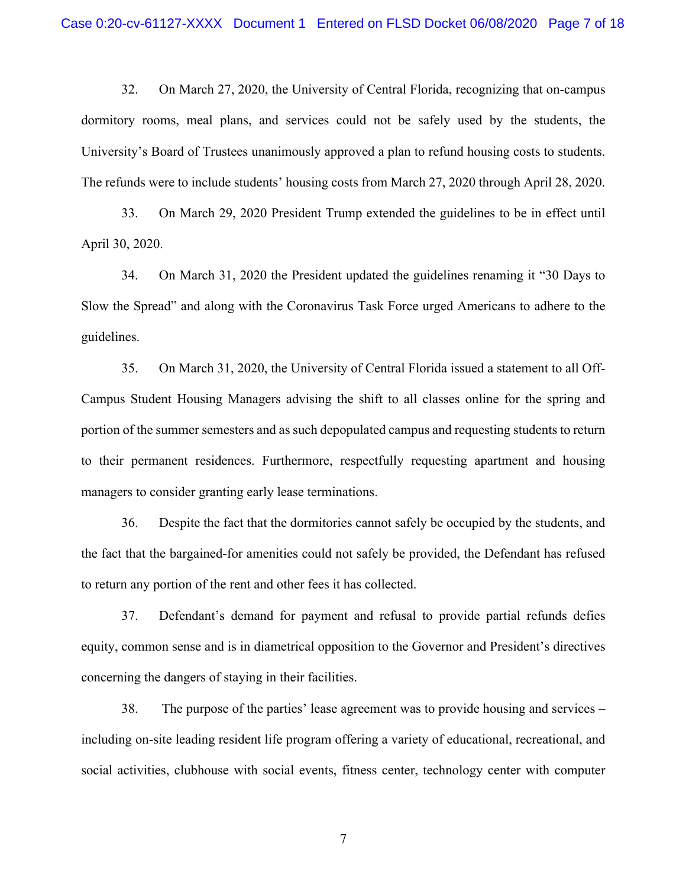32. On March 27, 2020, the University of Central Florida, recognizing that on-campus dormitory rooms, meal plans, and services could not be safely used by the students, the University's Board of Trustees unanimously approved a plan to refund housing costs to students. The refunds were to include students' housing costs from March 27, 2020 through April 28, 2020.

33. On March 29, 2020 President Trump extended the guidelines to be in effect until April 30, 2020.

34. On March 31, 2020 the President updated the guidelines renaming it "30 Days to Slow the Spread" and along with the Coronavirus Task Force urged Americans to adhere to the guidelines.

35. On March 31, 2020, the University of Central Florida issued a statement to all Off-Campus Student Housing Managers advising the shift to all classes online for the spring and portion of the summer semesters and as such depopulated campus and requesting students to return to their permanent residences. Furthermore, respectfully requesting apartment and housing managers to consider granting early lease terminations.

36. Despite the fact that the dormitories cannot safely be occupied by the students, and the fact that the bargained-for amenities could not safely be provided, the Defendant has refused to return any portion of the rent and other fees it has collected.

37. Defendant's demand for payment and refusal to provide partial refunds defies equity, common sense and is in diametrical opposition to the Governor and President's directives concerning the dangers of staying in their facilities.

38. The purpose of the parties' lease agreement was to provide housing and services – including on-site leading resident life program offering a variety of educational, recreational, and social activities, clubhouse with social events, fitness center, technology center with computer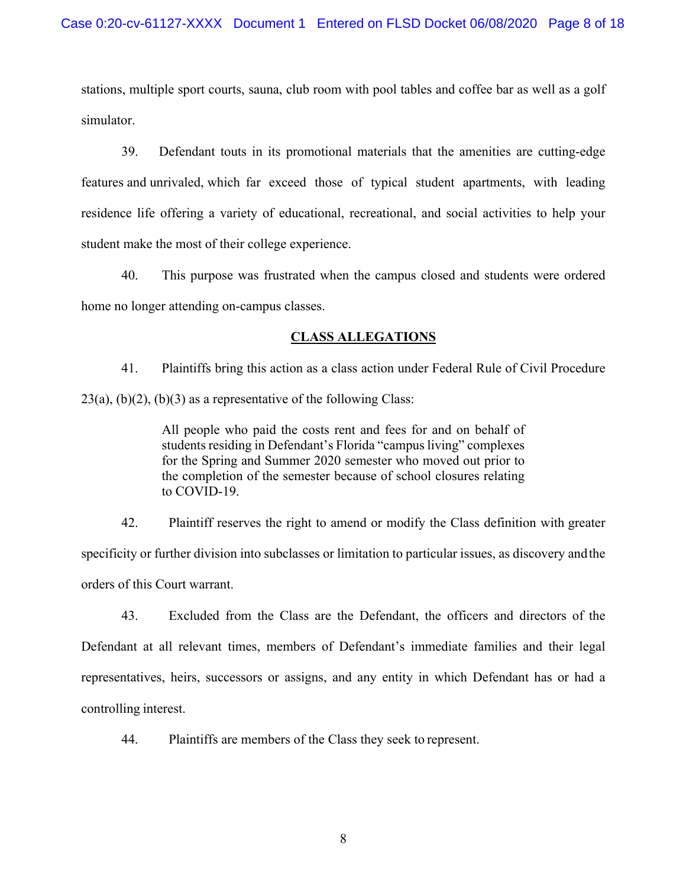stations, multiple sport courts, sauna, club room with pool tables and coffee bar as well as a golf simulator.

39. Defendant touts in its promotional materials that the amenities are cutting-edge features and unrivaled, which far exceed those of typical student apartments, with leading residence life offering a variety of educational, recreational, and social activities to help your student make the most of their college experience.

40. This purpose was frustrated when the campus closed and students were ordered home no longer attending on-campus classes.

## **CLASS ALLEGATIONS**

41. Plaintiffs bring this action as a class action under Federal Rule of Civil Procedure  $23(a)$ ,  $(b)(2)$ ,  $(b)(3)$  as a representative of the following Class:

> All people who paid the costs rent and fees for and on behalf of students residing in Defendant's Florida "campus living" complexes for the Spring and Summer 2020 semester who moved out prior to the completion of the semester because of school closures relating to COVID-19.

42. Plaintiff reserves the right to amend or modify the Class definition with greater specificity or further division into subclasses or limitation to particular issues, as discovery andthe orders of this Court warrant.

43. Excluded from the Class are the Defendant, the officers and directors of the Defendant at all relevant times, members of Defendant's immediate families and their legal representatives, heirs, successors or assigns, and any entity in which Defendant has or had a controlling interest.

44. Plaintiffs are members of the Class they seek to represent.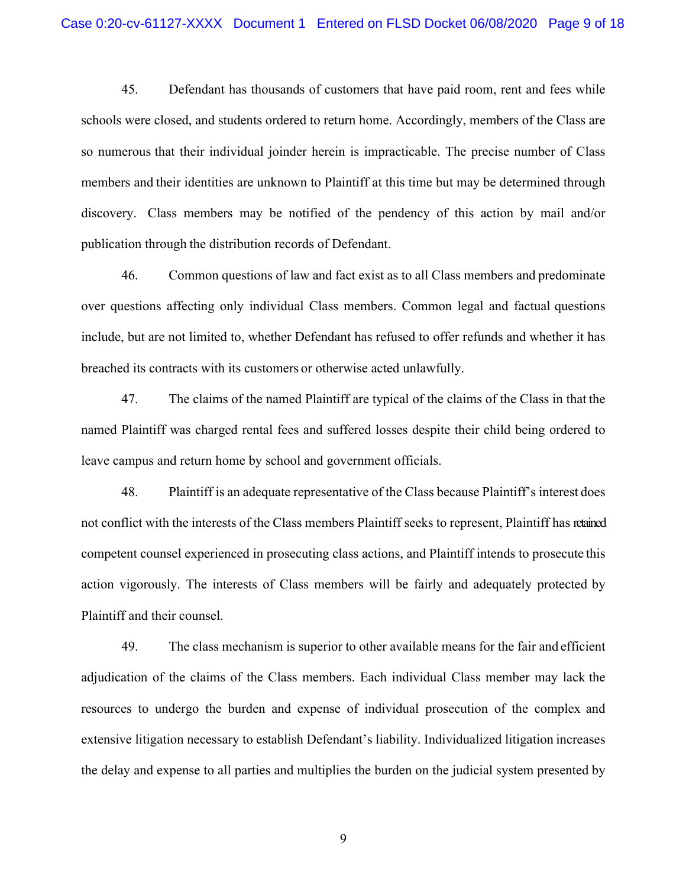45. Defendant has thousands of customers that have paid room, rent and fees while schools were closed, and students ordered to return home. Accordingly, members of the Class are so numerous that their individual joinder herein is impracticable. The precise number of Class members and their identities are unknown to Plaintiff at this time but may be determined through discovery. Class members may be notified of the pendency of this action by mail and/or publication through the distribution records of Defendant.

46. Common questions of law and fact exist as to all Class members and predominate over questions affecting only individual Class members. Common legal and factual questions include, but are not limited to, whether Defendant has refused to offer refunds and whether it has breached its contracts with its customers or otherwise acted unlawfully.

47. The claims of the named Plaintiff are typical of the claims of the Class in that the named Plaintiff was charged rental fees and suffered losses despite their child being ordered to leave campus and return home by school and government officials.

48. Plaintiff is an adequate representative of the Class because Plaintiff's interest does not conflict with the interests of the Class members Plaintiff seeks to represent, Plaintiff has retained competent counsel experienced in prosecuting class actions, and Plaintiff intends to prosecute this action vigorously. The interests of Class members will be fairly and adequately protected by Plaintiff and their counsel.

49. The class mechanism is superior to other available means for the fair and efficient adjudication of the claims of the Class members. Each individual Class member may lack the resources to undergo the burden and expense of individual prosecution of the complex and extensive litigation necessary to establish Defendant's liability. Individualized litigation increases the delay and expense to all parties and multiplies the burden on the judicial system presented by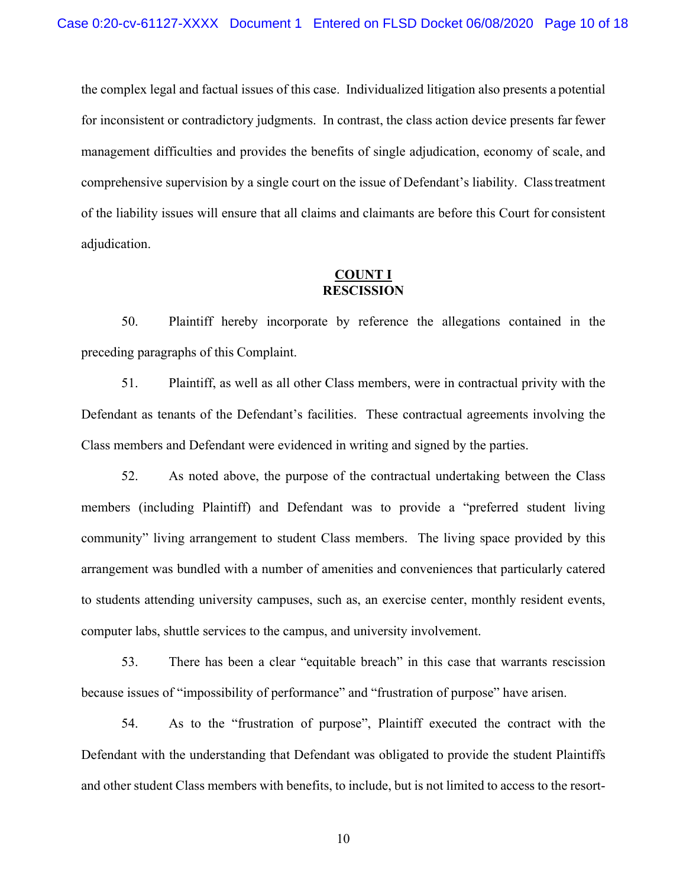the complex legal and factual issues of this case. Individualized litigation also presents a potential for inconsistent or contradictory judgments. In contrast, the class action device presents far fewer management difficulties and provides the benefits of single adjudication, economy of scale, and comprehensive supervision by a single court on the issue of Defendant's liability. Classtreatment of the liability issues will ensure that all claims and claimants are before this Court for consistent adjudication.

## **COUNT I RESCISSION**

50. Plaintiff hereby incorporate by reference the allegations contained in the preceding paragraphs of this Complaint.

51. Plaintiff, as well as all other Class members, were in contractual privity with the Defendant as tenants of the Defendant's facilities. These contractual agreements involving the Class members and Defendant were evidenced in writing and signed by the parties.

52. As noted above, the purpose of the contractual undertaking between the Class members (including Plaintiff) and Defendant was to provide a "preferred student living community" living arrangement to student Class members. The living space provided by this arrangement was bundled with a number of amenities and conveniences that particularly catered to students attending university campuses, such as, an exercise center, monthly resident events, computer labs, shuttle services to the campus, and university involvement.

53. There has been a clear "equitable breach" in this case that warrants rescission because issues of "impossibility of performance" and "frustration of purpose" have arisen.

54. As to the "frustration of purpose", Plaintiff executed the contract with the Defendant with the understanding that Defendant was obligated to provide the student Plaintiffs and other student Class members with benefits, to include, but is not limited to access to the resort-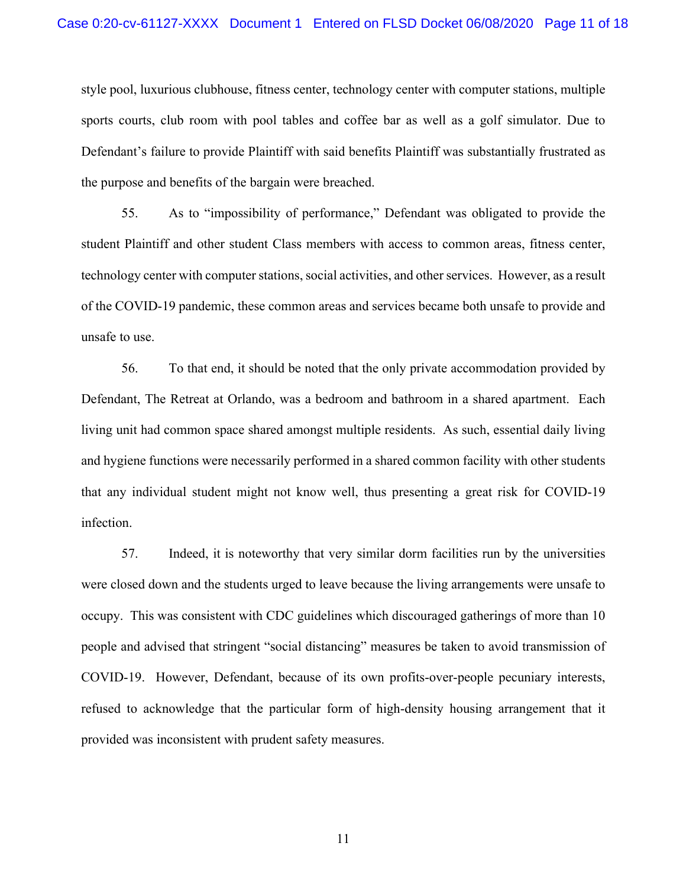style pool, luxurious clubhouse, fitness center, technology center with computer stations, multiple sports courts, club room with pool tables and coffee bar as well as a golf simulator. Due to Defendant's failure to provide Plaintiff with said benefits Plaintiff was substantially frustrated as the purpose and benefits of the bargain were breached.

55. As to "impossibility of performance," Defendant was obligated to provide the student Plaintiff and other student Class members with access to common areas, fitness center, technology center with computer stations, social activities, and other services. However, as a result of the COVID-19 pandemic, these common areas and services became both unsafe to provide and unsafe to use.

56. To that end, it should be noted that the only private accommodation provided by Defendant, The Retreat at Orlando, was a bedroom and bathroom in a shared apartment. Each living unit had common space shared amongst multiple residents. As such, essential daily living and hygiene functions were necessarily performed in a shared common facility with other students that any individual student might not know well, thus presenting a great risk for COVID-19 infection.

57. Indeed, it is noteworthy that very similar dorm facilities run by the universities were closed down and the students urged to leave because the living arrangements were unsafe to occupy. This was consistent with CDC guidelines which discouraged gatherings of more than 10 people and advised that stringent "social distancing" measures be taken to avoid transmission of COVID-19. However, Defendant, because of its own profits-over-people pecuniary interests, refused to acknowledge that the particular form of high-density housing arrangement that it provided was inconsistent with prudent safety measures.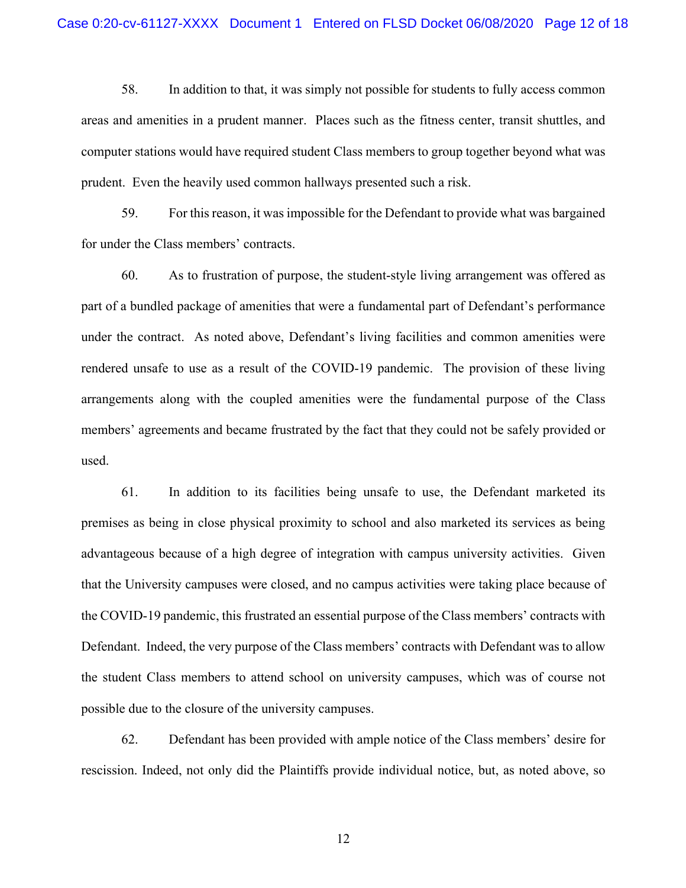58. In addition to that, it was simply not possible for students to fully access common areas and amenities in a prudent manner. Places such as the fitness center, transit shuttles, and computer stations would have required student Class members to group together beyond what was prudent. Even the heavily used common hallways presented such a risk.

59. For this reason, it was impossible for the Defendant to provide what was bargained for under the Class members' contracts.

60. As to frustration of purpose, the student-style living arrangement was offered as part of a bundled package of amenities that were a fundamental part of Defendant's performance under the contract. As noted above, Defendant's living facilities and common amenities were rendered unsafe to use as a result of the COVID-19 pandemic. The provision of these living arrangements along with the coupled amenities were the fundamental purpose of the Class members' agreements and became frustrated by the fact that they could not be safely provided or used.

61. In addition to its facilities being unsafe to use, the Defendant marketed its premises as being in close physical proximity to school and also marketed its services as being advantageous because of a high degree of integration with campus university activities. Given that the University campuses were closed, and no campus activities were taking place because of the COVID-19 pandemic, this frustrated an essential purpose of the Class members' contracts with Defendant. Indeed, the very purpose of the Class members' contracts with Defendant was to allow the student Class members to attend school on university campuses, which was of course not possible due to the closure of the university campuses.

62. Defendant has been provided with ample notice of the Class members' desire for rescission. Indeed, not only did the Plaintiffs provide individual notice, but, as noted above, so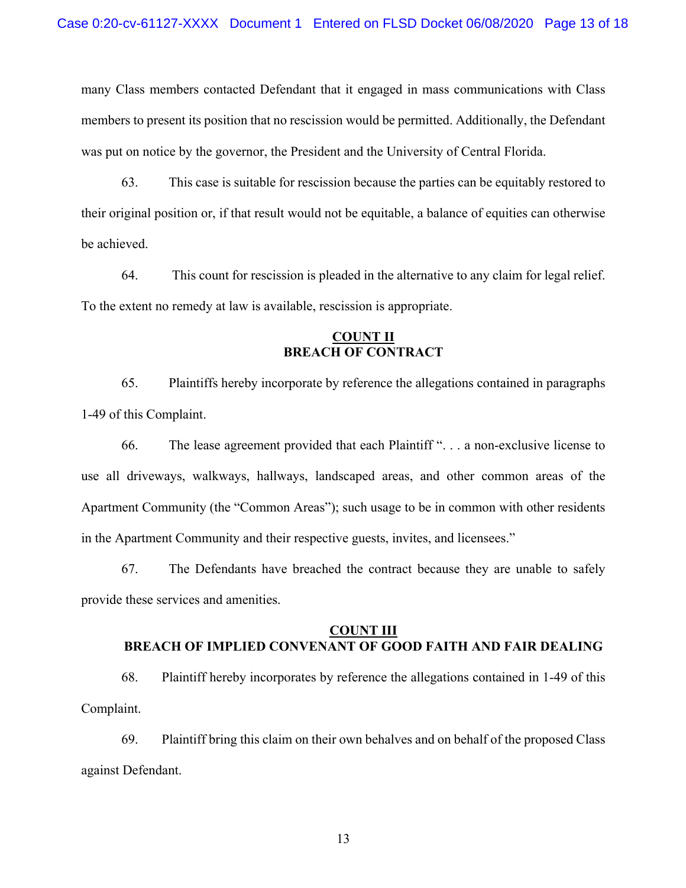many Class members contacted Defendant that it engaged in mass communications with Class members to present its position that no rescission would be permitted. Additionally, the Defendant was put on notice by the governor, the President and the University of Central Florida.

63. This case is suitable for rescission because the parties can be equitably restored to their original position or, if that result would not be equitable, a balance of equities can otherwise be achieved.

64. This count for rescission is pleaded in the alternative to any claim for legal relief. To the extent no remedy at law is available, rescission is appropriate.

#### **COUNT II BREACH OF CONTRACT**

65. Plaintiffs hereby incorporate by reference the allegations contained in paragraphs 1-49 of this Complaint.

66. The lease agreement provided that each Plaintiff ". . . a non-exclusive license to use all driveways, walkways, hallways, landscaped areas, and other common areas of the Apartment Community (the "Common Areas"); such usage to be in common with other residents in the Apartment Community and their respective guests, invites, and licensees."

67. The Defendants have breached the contract because they are unable to safely provide these services and amenities.

#### **COUNT III**

## **BREACH OF IMPLIED CONVENANT OF GOOD FAITH AND FAIR DEALING**

68. Plaintiff hereby incorporates by reference the allegations contained in 1-49 of this Complaint.

69. Plaintiff bring this claim on their own behalves and on behalf of the proposed Class against Defendant.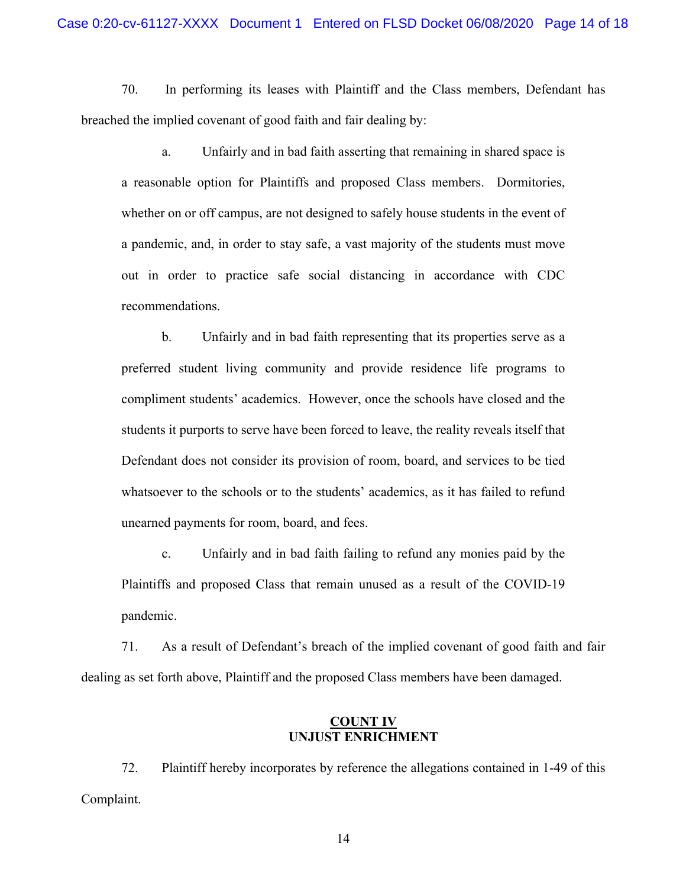70. In performing its leases with Plaintiff and the Class members, Defendant has breached the implied covenant of good faith and fair dealing by:

a. Unfairly and in bad faith asserting that remaining in shared space is a reasonable option for Plaintiffs and proposed Class members. Dormitories, whether on or off campus, are not designed to safely house students in the event of a pandemic, and, in order to stay safe, a vast majority of the students must move out in order to practice safe social distancing in accordance with CDC recommendations.

b. Unfairly and in bad faith representing that its properties serve as a preferred student living community and provide residence life programs to compliment students' academics. However, once the schools have closed and the students it purports to serve have been forced to leave, the reality reveals itself that Defendant does not consider its provision of room, board, and services to be tied whatsoever to the schools or to the students' academics, as it has failed to refund unearned payments for room, board, and fees.

c. Unfairly and in bad faith failing to refund any monies paid by the Plaintiffs and proposed Class that remain unused as a result of the COVID-19 pandemic.

71. As a result of Defendant's breach of the implied covenant of good faith and fair dealing as set forth above, Plaintiff and the proposed Class members have been damaged.

## **COUNT IV UNJUST ENRICHMENT**

72. Plaintiff hereby incorporates by reference the allegations contained in 1-49 of this Complaint.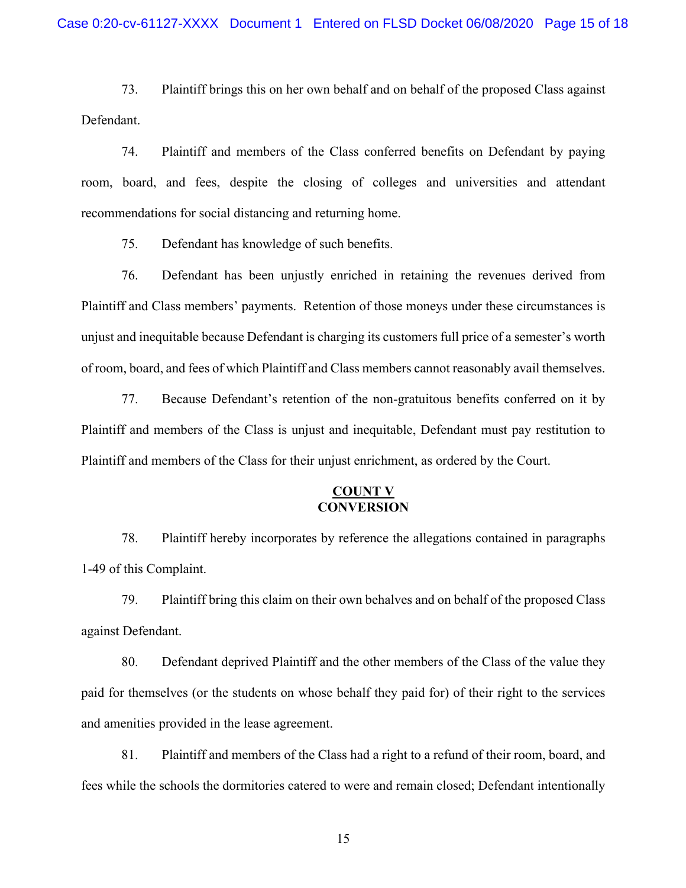73. Plaintiff brings this on her own behalf and on behalf of the proposed Class against Defendant.

74. Plaintiff and members of the Class conferred benefits on Defendant by paying room, board, and fees, despite the closing of colleges and universities and attendant recommendations for social distancing and returning home.

75. Defendant has knowledge of such benefits.

76. Defendant has been unjustly enriched in retaining the revenues derived from Plaintiff and Class members' payments. Retention of those moneys under these circumstances is unjust and inequitable because Defendant is charging its customers full price of a semester's worth of room, board, and fees of which Plaintiff and Class members cannot reasonably avail themselves.

77. Because Defendant's retention of the non-gratuitous benefits conferred on it by Plaintiff and members of the Class is unjust and inequitable, Defendant must pay restitution to Plaintiff and members of the Class for their unjust enrichment, as ordered by the Court.

#### **COUNT V CONVERSION**

78. Plaintiff hereby incorporates by reference the allegations contained in paragraphs 1-49 of this Complaint.

79. Plaintiff bring this claim on their own behalves and on behalf of the proposed Class against Defendant.

80. Defendant deprived Plaintiff and the other members of the Class of the value they paid for themselves (or the students on whose behalf they paid for) of their right to the services and amenities provided in the lease agreement.

81. Plaintiff and members of the Class had a right to a refund of their room, board, and fees while the schools the dormitories catered to were and remain closed; Defendant intentionally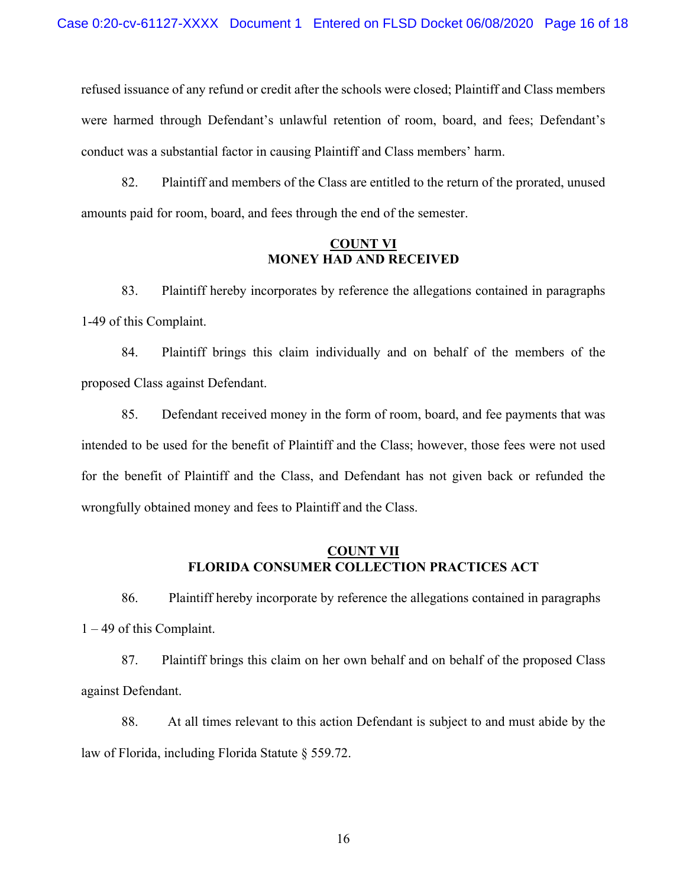refused issuance of any refund or credit after the schools were closed; Plaintiff and Class members were harmed through Defendant's unlawful retention of room, board, and fees; Defendant's conduct was a substantial factor in causing Plaintiff and Class members' harm.

82. Plaintiff and members of the Class are entitled to the return of the prorated, unused amounts paid for room, board, and fees through the end of the semester.

## **COUNT VI MONEY HAD AND RECEIVED**

83. Plaintiff hereby incorporates by reference the allegations contained in paragraphs 1-49 of this Complaint.

84. Plaintiff brings this claim individually and on behalf of the members of the proposed Class against Defendant.

85. Defendant received money in the form of room, board, and fee payments that was intended to be used for the benefit of Plaintiff and the Class; however, those fees were not used for the benefit of Plaintiff and the Class, and Defendant has not given back or refunded the wrongfully obtained money and fees to Plaintiff and the Class.

## **COUNT VII FLORIDA CONSUMER COLLECTION PRACTICES ACT**

86. Plaintiff hereby incorporate by reference the allegations contained in paragraphs 1 – 49 of this Complaint.

87. Plaintiff brings this claim on her own behalf and on behalf of the proposed Class against Defendant.

88. At all times relevant to this action Defendant is subject to and must abide by the law of Florida, including Florida Statute § 559.72.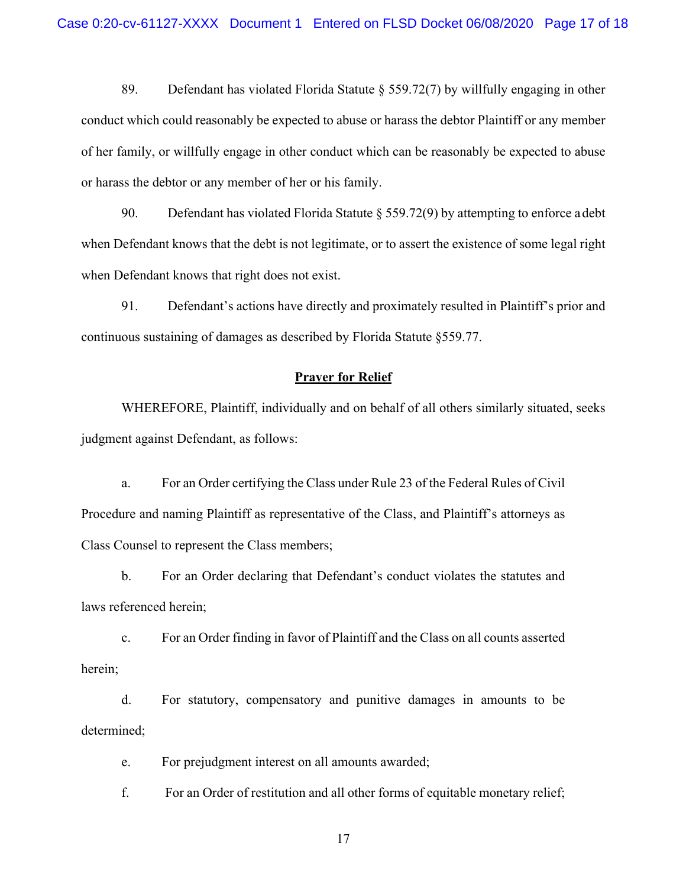89. Defendant has violated Florida Statute § 559.72(7) by willfully engaging in other conduct which could reasonably be expected to abuse or harass the debtor Plaintiff or any member of her family, or willfully engage in other conduct which can be reasonably be expected to abuse or harass the debtor or any member of her or his family.

90. Defendant has violated Florida Statute § 559.72(9) by attempting to enforce adebt when Defendant knows that the debt is not legitimate, or to assert the existence of some legal right when Defendant knows that right does not exist.

91. Defendant's actions have directly and proximately resulted in Plaintiff's prior and continuous sustaining of damages as described by Florida Statute §559.77.

## **Prayer for Relief**

WHEREFORE, Plaintiff, individually and on behalf of all others similarly situated, seeks judgment against Defendant, as follows:

a. For an Order certifying the Class under Rule 23 of the Federal Rules of Civil Procedure and naming Plaintiff as representative of the Class, and Plaintiff's attorneys as Class Counsel to represent the Class members;

b. For an Order declaring that Defendant's conduct violates the statutes and laws referenced herein;

c. For an Order finding in favor of Plaintiff and the Class on all counts asserted herein;

d. For statutory, compensatory and punitive damages in amounts to be determined;

e. For prejudgment interest on all amounts awarded;

f. For an Order of restitution and all other forms of equitable monetary relief;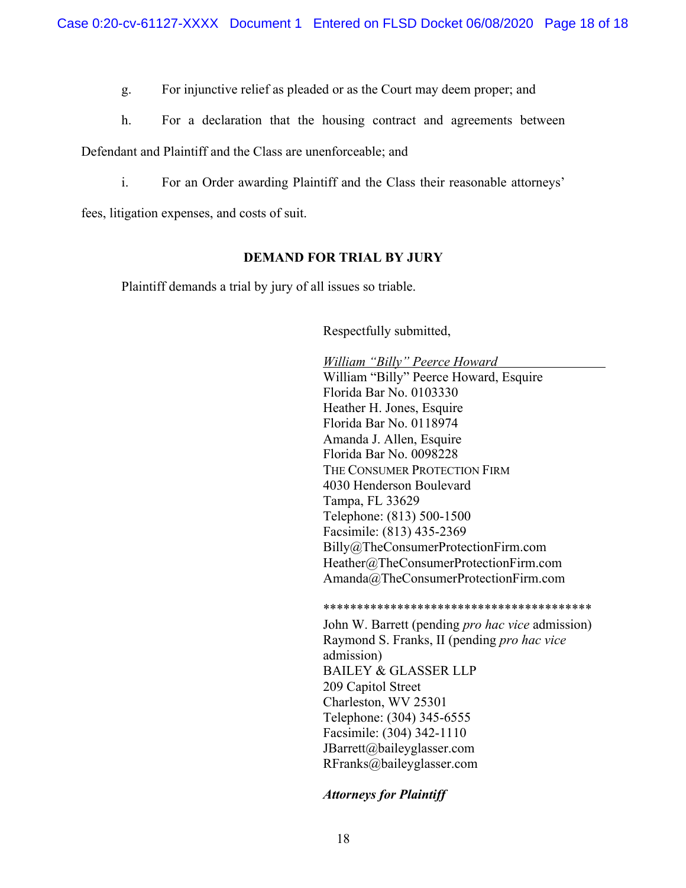g. For injunctive relief as pleaded or as the Court may deem proper; and

h. For a declaration that the housing contract and agreements between

Defendant and Plaintiff and the Class are unenforceable; and

i. For an Order awarding Plaintiff and the Class their reasonable attorneys'

fees, litigation expenses, and costs of suit.

## **DEMAND FOR TRIAL BY JURY**

Plaintiff demands a trial by jury of all issues so triable.

Respectfully submitted,

 *William "Billy" Peerce Howard* William "Billy" Peerce Howard, Esquire Florida Bar No. 0103330 Heather H. Jones, Esquire Florida Bar No. 0118974 Amanda J. Allen, Esquire Florida Bar No. 0098228 THE CONSUMER PROTECTION FIRM 4030 Henderson Boulevard Tampa, FL 33629 Telephone: (813) 500-1500 Facsimile: (813) 435-2369 Billy@TheConsumerProtectionFirm.com Heather@TheConsumerProtectionFirm.com Amanda@TheConsumerProtectionFirm.com

#### \*\*\*\*\*\*\*\*\*\*\*\*\*\*\*\*\*\*\*\*\*\*\*\*\*\*\*\*\*\*\*\*\*\*\*\*\*\*\*\*

John W. Barrett (pending *pro hac vice* admission) Raymond S. Franks, II (pending *pro hac vice*  admission) BAILEY & GLASSER LLP 209 Capitol Street Charleston, WV 25301 Telephone: (304) 345-6555 Facsimile: (304) 342-1110 JBarrett@baileyglasser.com RFranks@baileyglasser.com

## *Attorneys for Plaintiff*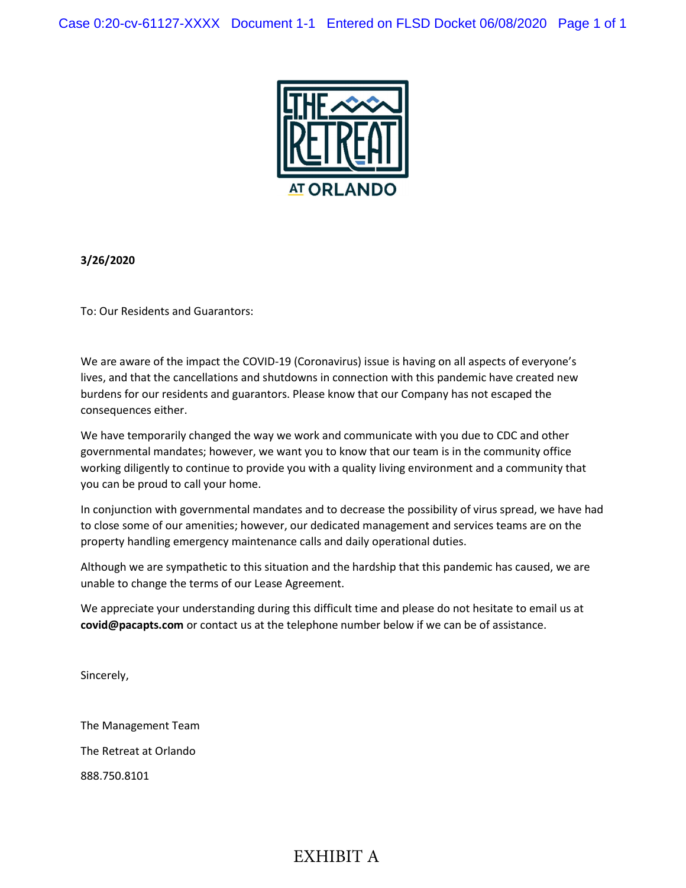

3/26/2020

To: Our Residents and Guarantors:

We are aware of the impact the COVID-19 (Coronavirus) issue is having on all aspects of everyone's lives, and that the cancellations and shutdowns in connection with this pandemic have created new burdens for our residents and guarantors. Please know that our Company has not escaped the consequences either.

We have temporarily changed the way we work and communicate with you due to CDC and other governmental mandates; however, we want you to know that our team is in the community office working diligently to continue to provide you with a quality living environment and a community that you can be proud to call your home.

In conjunction with governmental mandates and to decrease the possibility of virus spread, we have had to close some of our amenities; however, our dedicated management and services teams are on the property handling emergency maintenance calls and daily operational duties.

Although we are sympathetic to this situation and the hardship that this pandemic has caused, we are unable to change the terms of our Lease Agreement.

We appreciate your understanding during this difficult time and please do not hesitate to email us at covid@pacapts.com or contact us at the telephone number below if we can be of assistance.

Sincerely,

The Management Team The Retreat at Orlando 888.750.8101

## EXHIBIT A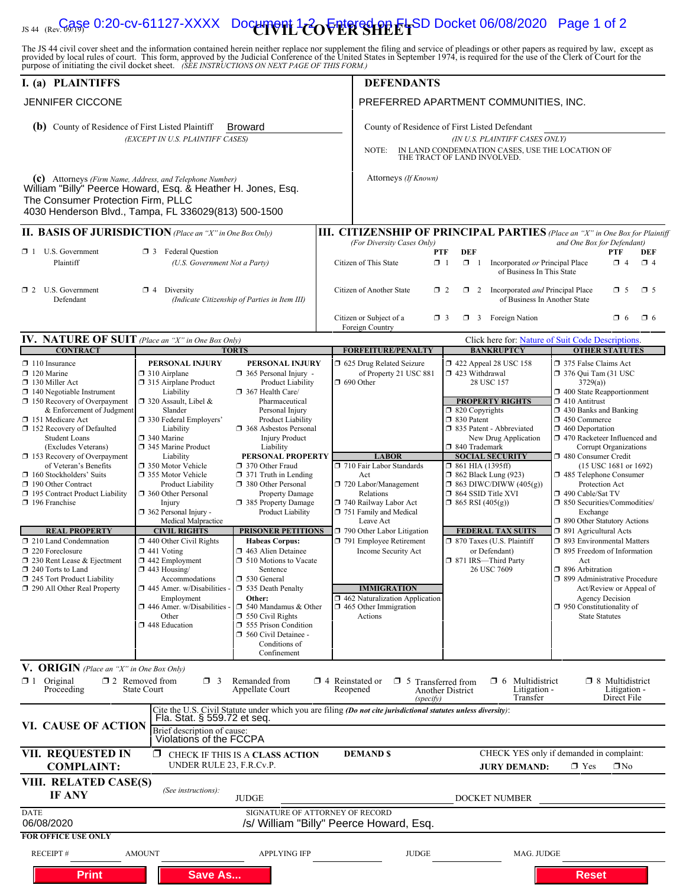# IS 44 (Rev. 0<del>.0.</del> Case 0:20-cv-61127-XXXX Document 12 O FRR SHEETSD Docket 06/08/2020 Page 1 of 2

The JS 44 civil cover sheet and the information contained herein neither replace nor supplement the filing and service of pleadings or other papers as required by law, except as provided by local rules of court. This form,

| I. (a) PLAINTIFFS                                                                                                                                                                                                                                                                                                                                                                                                                                                                                                                                                                                                                                   |                                                                                                                                                                                                                                                                                                                                                                                                                                                                                                                                                                                                                                                |                                                                                                                                                                                                                                                                                                                                                                                                                                                                                                                                                                                                                                                                                                     |                                                                                                                                                                                                                                             | <b>DEFENDANTS</b>                                                                                                                                                                                                                                                                                                                                                                                                     |                                                                                                                                                                                                                                                                                                                                                                                                                                                                                                     |                                                                                                                                                                                                                                                                                                                                                                                                                                                                                                                                                                                                                                                                                                                                                     |  |  |
|-----------------------------------------------------------------------------------------------------------------------------------------------------------------------------------------------------------------------------------------------------------------------------------------------------------------------------------------------------------------------------------------------------------------------------------------------------------------------------------------------------------------------------------------------------------------------------------------------------------------------------------------------------|------------------------------------------------------------------------------------------------------------------------------------------------------------------------------------------------------------------------------------------------------------------------------------------------------------------------------------------------------------------------------------------------------------------------------------------------------------------------------------------------------------------------------------------------------------------------------------------------------------------------------------------------|-----------------------------------------------------------------------------------------------------------------------------------------------------------------------------------------------------------------------------------------------------------------------------------------------------------------------------------------------------------------------------------------------------------------------------------------------------------------------------------------------------------------------------------------------------------------------------------------------------------------------------------------------------------------------------------------------------|---------------------------------------------------------------------------------------------------------------------------------------------------------------------------------------------------------------------------------------------|-----------------------------------------------------------------------------------------------------------------------------------------------------------------------------------------------------------------------------------------------------------------------------------------------------------------------------------------------------------------------------------------------------------------------|-----------------------------------------------------------------------------------------------------------------------------------------------------------------------------------------------------------------------------------------------------------------------------------------------------------------------------------------------------------------------------------------------------------------------------------------------------------------------------------------------------|-----------------------------------------------------------------------------------------------------------------------------------------------------------------------------------------------------------------------------------------------------------------------------------------------------------------------------------------------------------------------------------------------------------------------------------------------------------------------------------------------------------------------------------------------------------------------------------------------------------------------------------------------------------------------------------------------------------------------------------------------------|--|--|
| <b>JENNIFER CICCONE</b>                                                                                                                                                                                                                                                                                                                                                                                                                                                                                                                                                                                                                             |                                                                                                                                                                                                                                                                                                                                                                                                                                                                                                                                                                                                                                                |                                                                                                                                                                                                                                                                                                                                                                                                                                                                                                                                                                                                                                                                                                     |                                                                                                                                                                                                                                             | PREFERRED APARTMENT COMMUNITIES, INC.                                                                                                                                                                                                                                                                                                                                                                                 |                                                                                                                                                                                                                                                                                                                                                                                                                                                                                                     |                                                                                                                                                                                                                                                                                                                                                                                                                                                                                                                                                                                                                                                                                                                                                     |  |  |
| <b>(b)</b> County of Residence of First Listed Plaintiff<br><b>Broward</b><br>(EXCEPT IN U.S. PLAINTIFF CASES)<br>(c) Attorneys (Firm Name, Address, and Telephone Number)<br>William "Billy" Peerce Howard, Esq. & Heather H. Jones, Esq.<br>The Consumer Protection Firm, PLLC<br>4030 Henderson Blvd., Tampa, FL 336029(813) 500-1500                                                                                                                                                                                                                                                                                                            |                                                                                                                                                                                                                                                                                                                                                                                                                                                                                                                                                                                                                                                |                                                                                                                                                                                                                                                                                                                                                                                                                                                                                                                                                                                                                                                                                                     |                                                                                                                                                                                                                                             | County of Residence of First Listed Defendant<br>(IN U.S. PLAINTIFF CASES ONLY)<br>IN LAND CONDEMNATION CASES, USE THE LOCATION OF THE TRACT OF LAND INVOLVED.<br>NOTE:<br>Attorneys (If Known)                                                                                                                                                                                                                       |                                                                                                                                                                                                                                                                                                                                                                                                                                                                                                     |                                                                                                                                                                                                                                                                                                                                                                                                                                                                                                                                                                                                                                                                                                                                                     |  |  |
|                                                                                                                                                                                                                                                                                                                                                                                                                                                                                                                                                                                                                                                     |                                                                                                                                                                                                                                                                                                                                                                                                                                                                                                                                                                                                                                                |                                                                                                                                                                                                                                                                                                                                                                                                                                                                                                                                                                                                                                                                                                     |                                                                                                                                                                                                                                             |                                                                                                                                                                                                                                                                                                                                                                                                                       |                                                                                                                                                                                                                                                                                                                                                                                                                                                                                                     |                                                                                                                                                                                                                                                                                                                                                                                                                                                                                                                                                                                                                                                                                                                                                     |  |  |
| $\Box$ 1 U.S. Government<br>Plaintiff                                                                                                                                                                                                                                                                                                                                                                                                                                                                                                                                                                                                               | 3 Federal Question<br>(U.S. Government Not a Party)                                                                                                                                                                                                                                                                                                                                                                                                                                                                                                                                                                                            |                                                                                                                                                                                                                                                                                                                                                                                                                                                                                                                                                                                                                                                                                                     | (For Diversity Cases Only)<br>and One Box for Defendant)<br><b>PTF</b><br><b>DEF</b><br>PTF<br>DEF<br>Citizen of This State<br>$\Box$ 1<br>$\Box$ 1<br>Incorporated or Principal Place<br>$\Box$ 4<br>$\Box$ 4<br>of Business In This State |                                                                                                                                                                                                                                                                                                                                                                                                                       |                                                                                                                                                                                                                                                                                                                                                                                                                                                                                                     |                                                                                                                                                                                                                                                                                                                                                                                                                                                                                                                                                                                                                                                                                                                                                     |  |  |
| $\Box$ 2 U.S. Government<br>Defendant                                                                                                                                                                                                                                                                                                                                                                                                                                                                                                                                                                                                               | $\Box$ 4 Diversity<br>(Indicate Citizenship of Parties in Item III)                                                                                                                                                                                                                                                                                                                                                                                                                                                                                                                                                                            |                                                                                                                                                                                                                                                                                                                                                                                                                                                                                                                                                                                                                                                                                                     | Citizen of Another State<br>Incorporated and Principal Place<br>$\square$ 5<br>$\Box$ 2<br>$\Box$ 2<br>$\Box$ 5<br>of Business In Another State<br>$\Box$ 3                                                                                 |                                                                                                                                                                                                                                                                                                                                                                                                                       |                                                                                                                                                                                                                                                                                                                                                                                                                                                                                                     |                                                                                                                                                                                                                                                                                                                                                                                                                                                                                                                                                                                                                                                                                                                                                     |  |  |
|                                                                                                                                                                                                                                                                                                                                                                                                                                                                                                                                                                                                                                                     |                                                                                                                                                                                                                                                                                                                                                                                                                                                                                                                                                                                                                                                |                                                                                                                                                                                                                                                                                                                                                                                                                                                                                                                                                                                                                                                                                                     |                                                                                                                                                                                                                                             | Citizen or Subject of a<br>Foreign Country                                                                                                                                                                                                                                                                                                                                                                            | <b>1</b> 3 Foreign Nation                                                                                                                                                                                                                                                                                                                                                                                                                                                                           | $\Box$ 6<br>$\Box$ 6                                                                                                                                                                                                                                                                                                                                                                                                                                                                                                                                                                                                                                                                                                                                |  |  |
| <b>IV. NATURE OF SUIT</b> (Place an "X" in One Box Only)<br><b>CONTRACT</b>                                                                                                                                                                                                                                                                                                                                                                                                                                                                                                                                                                         |                                                                                                                                                                                                                                                                                                                                                                                                                                                                                                                                                                                                                                                | <b>TORTS</b>                                                                                                                                                                                                                                                                                                                                                                                                                                                                                                                                                                                                                                                                                        |                                                                                                                                                                                                                                             | <b>FORFEITURE/PENALTY</b>                                                                                                                                                                                                                                                                                                                                                                                             | <b>BANKRUPTCY</b>                                                                                                                                                                                                                                                                                                                                                                                                                                                                                   | Click here for: Nature of Suit Code Descriptions.<br><b>OTHER STATUTES</b>                                                                                                                                                                                                                                                                                                                                                                                                                                                                                                                                                                                                                                                                          |  |  |
| $\Box$ 110 Insurance<br>$\Box$ 120 Marine<br>$\Box$ 130 Miller Act<br>$\Box$ 140 Negotiable Instrument<br>$\Box$ 150 Recovery of Overpayment<br>& Enforcement of Judgment<br>□ 151 Medicare Act<br>□ 152 Recovery of Defaulted<br><b>Student Loans</b><br>(Excludes Veterans)<br>□ 153 Recovery of Overpayment<br>of Veteran's Benefits<br>160 Stockholders' Suits<br>190 Other Contract<br>□ 195 Contract Product Liability<br>$\Box$ 196 Franchise<br><b>REAL PROPERTY</b><br>210 Land Condemnation<br>$\Box$ 220 Foreclosure<br>□ 230 Rent Lease & Ejectment<br>240 Torts to Land<br>245 Tort Product Liability<br>□ 290 All Other Real Property | PERSONAL INJURY<br>$\Box$ 310 Airplane<br>□ 315 Airplane Product<br>Liability<br>$\Box$ 320 Assault, Libel &<br>Slander<br>□ 330 Federal Employers'<br>Liability<br>□ 340 Marine<br>345 Marine Product<br>Liability<br>□ 350 Motor Vehicle<br>□ 355 Motor Vehicle<br><b>Product Liability</b><br>360 Other Personal<br>Injury<br>$\Box$ 362 Personal Injury -<br>Medical Malpractice<br><b>CIVIL RIGHTS</b><br>$\Box$ 440 Other Civil Rights<br>$\Box$ 441 Voting<br>$\Box$ 442 Employment<br>$\Box$ 443 Housing/<br>Accommodations<br>$\Box$ 445 Amer. w/Disabilities -<br>Employment<br>446 Amer. w/Disabilities -<br>Other<br>448 Education | PERSONAL INJURY<br>365 Personal Injury -<br>Product Liability<br>367 Health Care/<br>Pharmaceutical<br>Personal Injury<br><b>Product Liability</b><br>368 Asbestos Personal<br><b>Injury Product</b><br>Liability<br>PERSONAL PROPERTY<br>370 Other Fraud<br>$\Box$ 371 Truth in Lending<br>380 Other Personal<br>Property Damage<br>385 Property Damage<br>Product Liability<br><b>PRISONER PETITIONS</b><br><b>Habeas Corpus:</b><br>463 Alien Detainee<br>□ 510 Motions to Vacate<br>Sentence<br>□ 530 General<br>535 Death Penalty<br>Other:<br>$\Box$ 540 Mandamus & Other<br>$\Box$ 550 Civil Rights<br><b>1 555 Prison Condition</b><br>560 Civil Detainee -<br>Conditions of<br>Confinement |                                                                                                                                                                                                                                             | □ 625 Drug Related Seizure<br>of Property 21 USC 881<br>$\Box$ 690 Other<br><b>LABOR</b><br>710 Fair Labor Standards<br>Act<br>720 Labor/Management<br>Relations<br>740 Railway Labor Act<br>751 Family and Medical<br>Leave Act<br>790 Other Labor Litigation<br>791 Employee Retirement<br>Income Security Act<br><b>IMMIGRATION</b><br>□ 462 Naturalization Application<br>$\Box$ 465 Other Immigration<br>Actions | 158 122 Appeal 28 USC 158<br>□ 423 Withdrawal<br>28 USC 157<br><b>PROPERTY RIGHTS</b><br>$\Box$ 820 Copyrights<br>□ 830 Patent<br>335 Patent - Abbreviated<br>New Drug Application<br>□ 840 Trademark<br><b>SOCIAL SECURITY</b><br>$\Box$ 861 HIA (1395ff)<br><b>1 862 Black Lung (923)</b><br>$\Box$ 863 DIWC/DIWW (405(g))<br>□ 864 SSID Title XVI<br>$\Box$ 865 RSI (405(g))<br><b>FEDERAL TAX SUITS</b><br>□ 870 Taxes (U.S. Plaintiff<br>or Defendant)<br>□ 871 IRS-Third Party<br>26 USC 7609 | 375 False Claims Act<br>$\Box$ 376 Qui Tam (31 USC<br>3729(a)<br>1 400 State Reapportionment<br>$\Box$ 410 Antitrust<br>$\Box$ 430 Banks and Banking<br>$\Box$ 450 Commerce<br>$\Box$ 460 Deportation<br>1 470 Racketeer Influenced and<br>Corrupt Organizations<br>480 Consumer Credit<br>(15 USC 1681 or 1692)<br>485 Telephone Consumer<br>Protection Act<br>□ 490 Cable/Sat TV<br>$\Box$ 850 Securities/Commodities/<br>Exchange<br>X 890 Other Statutory Actions<br>□ 891 Agricultural Acts<br>□ 893 Environmental Matters<br>□ 895 Freedom of Information<br>Act<br>□ 896 Arbitration<br>$\Box$ 899 Administrative Procedure<br>Act/Review or Appeal of<br><b>Agency Decision</b><br>$\Box$ 950 Constitutionality of<br><b>State Statutes</b> |  |  |
| V. ORIGIN (Place an "X" in One Box Only)<br>$\mathbf{X}$ 1 Original<br>Proceeding                                                                                                                                                                                                                                                                                                                                                                                                                                                                                                                                                                   | $\square$ 2 Removed from<br>$\Box$ 3<br><b>State Court</b>                                                                                                                                                                                                                                                                                                                                                                                                                                                                                                                                                                                     | Remanded from<br>Appellate Court                                                                                                                                                                                                                                                                                                                                                                                                                                                                                                                                                                                                                                                                    | $\Box$ 4 Reinstated or<br>Reopened                                                                                                                                                                                                          | $\Box$ 5<br>(specify)<br>Cite the U.S. Civil Statute under which you are filing (Do not cite jurisdictional statutes unless diversity):                                                                                                                                                                                                                                                                               | Multidistrict<br>□ 6<br>Transferred from<br>Litigation -<br>Another District<br>Transfer                                                                                                                                                                                                                                                                                                                                                                                                            | $\Box$ 8 Multidistrict<br>Litigation -<br>Direct File                                                                                                                                                                                                                                                                                                                                                                                                                                                                                                                                                                                                                                                                                               |  |  |
| VI. CAUSE OF ACTION                                                                                                                                                                                                                                                                                                                                                                                                                                                                                                                                                                                                                                 | Fla. Stat. § 559.72 et seq.<br>Brief description of cause:<br>Violations of the FCCPA                                                                                                                                                                                                                                                                                                                                                                                                                                                                                                                                                          |                                                                                                                                                                                                                                                                                                                                                                                                                                                                                                                                                                                                                                                                                                     |                                                                                                                                                                                                                                             |                                                                                                                                                                                                                                                                                                                                                                                                                       |                                                                                                                                                                                                                                                                                                                                                                                                                                                                                                     |                                                                                                                                                                                                                                                                                                                                                                                                                                                                                                                                                                                                                                                                                                                                                     |  |  |
| VII. REQUESTED IN<br><b>COMPLAINT:</b>                                                                                                                                                                                                                                                                                                                                                                                                                                                                                                                                                                                                              | UNDER RULE 23, F.R.Cv.P.                                                                                                                                                                                                                                                                                                                                                                                                                                                                                                                                                                                                                       | <b>E</b> CHECK IF THIS IS A CLASS ACTION                                                                                                                                                                                                                                                                                                                                                                                                                                                                                                                                                                                                                                                            |                                                                                                                                                                                                                                             | <b>DEMAND \$</b>                                                                                                                                                                                                                                                                                                                                                                                                      | <b>JURY DEMAND:</b>                                                                                                                                                                                                                                                                                                                                                                                                                                                                                 | CHECK YES only if demanded in complaint:<br><b>X</b> Yes<br>$\Box$ No                                                                                                                                                                                                                                                                                                                                                                                                                                                                                                                                                                                                                                                                               |  |  |
| VIII. RELATED CASE(S)<br><b>IF ANY</b>                                                                                                                                                                                                                                                                                                                                                                                                                                                                                                                                                                                                              | (See instructions):                                                                                                                                                                                                                                                                                                                                                                                                                                                                                                                                                                                                                            | <b>JUDGE</b>                                                                                                                                                                                                                                                                                                                                                                                                                                                                                                                                                                                                                                                                                        |                                                                                                                                                                                                                                             |                                                                                                                                                                                                                                                                                                                                                                                                                       | DOCKET NUMBER                                                                                                                                                                                                                                                                                                                                                                                                                                                                                       |                                                                                                                                                                                                                                                                                                                                                                                                                                                                                                                                                                                                                                                                                                                                                     |  |  |
| <b>DATE</b><br>06/08/2020<br><b>FOR OFFICE USE ONLY</b>                                                                                                                                                                                                                                                                                                                                                                                                                                                                                                                                                                                             |                                                                                                                                                                                                                                                                                                                                                                                                                                                                                                                                                                                                                                                | SIGNATURE OF ATTORNEY OF RECORD                                                                                                                                                                                                                                                                                                                                                                                                                                                                                                                                                                                                                                                                     |                                                                                                                                                                                                                                             | /s/ William "Billy" Peerce Howard, Esq.                                                                                                                                                                                                                                                                                                                                                                               |                                                                                                                                                                                                                                                                                                                                                                                                                                                                                                     |                                                                                                                                                                                                                                                                                                                                                                                                                                                                                                                                                                                                                                                                                                                                                     |  |  |
| <b>RECEIPT#</b><br><b>Print</b>                                                                                                                                                                                                                                                                                                                                                                                                                                                                                                                                                                                                                     | <b>AMOUNT</b><br><b>Save As</b>                                                                                                                                                                                                                                                                                                                                                                                                                                                                                                                                                                                                                | <b>APPLYING IFP</b>                                                                                                                                                                                                                                                                                                                                                                                                                                                                                                                                                                                                                                                                                 |                                                                                                                                                                                                                                             | <b>JUDGE</b>                                                                                                                                                                                                                                                                                                                                                                                                          | MAG. JUDGE                                                                                                                                                                                                                                                                                                                                                                                                                                                                                          | <b>Reset</b>                                                                                                                                                                                                                                                                                                                                                                                                                                                                                                                                                                                                                                                                                                                                        |  |  |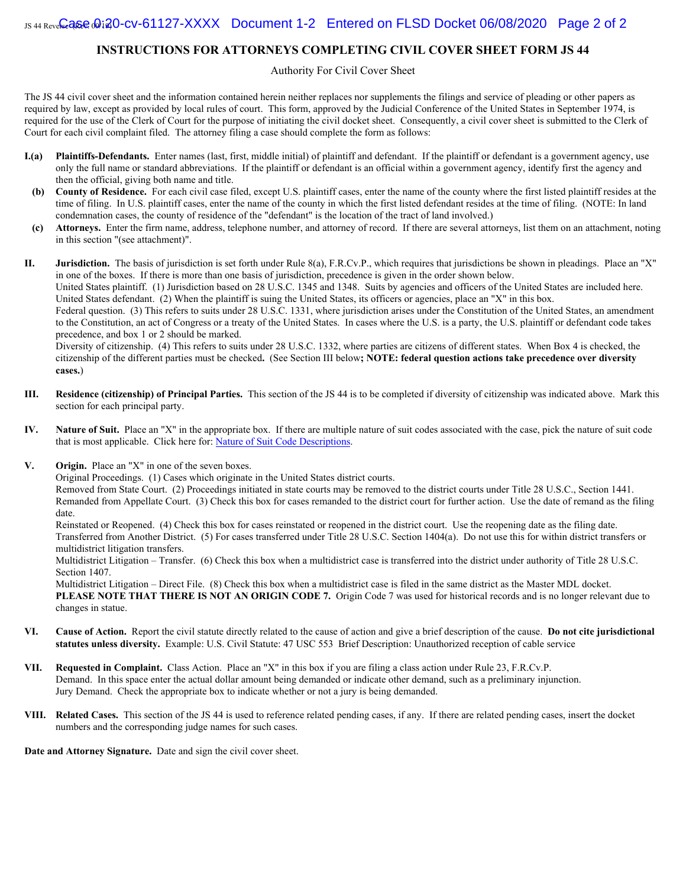#### **INSTRUCTIONS FOR ATTORNEYS COMPLETING CIVIL COVER SHEET FORM JS 44**

Authority For Civil Cover Sheet

The JS 44 civil cover sheet and the information contained herein neither replaces nor supplements the filings and service of pleading or other papers as required by law, except as provided by local rules of court. This form, approved by the Judicial Conference of the United States in September 1974, is required for the use of the Clerk of Court for the purpose of initiating the civil docket sheet. Consequently, a civil cover sheet is submitted to the Clerk of Court for each civil complaint filed. The attorney filing a case should complete the form as follows:

- **I.(a) Plaintiffs-Defendants.** Enter names (last, first, middle initial) of plaintiff and defendant. If the plaintiff or defendant is a government agency, use only the full name or standard abbreviations. If the plaintiff or defendant is an official within a government agency, identify first the agency and then the official, giving both name and title.
- **(b) County of Residence.** For each civil case filed, except U.S. plaintiff cases, enter the name of the county where the first listed plaintiff resides at the time of filing. In U.S. plaintiff cases, enter the name of the county in which the first listed defendant resides at the time of filing. (NOTE: In land condemnation cases, the county of residence of the "defendant" is the location of the tract of land involved.)
- **(c) Attorneys.** Enter the firm name, address, telephone number, and attorney of record. If there are several attorneys, list them on an attachment, noting in this section "(see attachment)".

**II. Jurisdiction.** The basis of jurisdiction is set forth under Rule 8(a), F.R.Cv.P., which requires that jurisdictions be shown in pleadings. Place an "X" in one of the boxes. If there is more than one basis of jurisdiction, precedence is given in the order shown below.

United States plaintiff. (1) Jurisdiction based on 28 U.S.C. 1345 and 1348. Suits by agencies and officers of the United States are included here. United States defendant. (2) When the plaintiff is suing the United States, its officers or agencies, place an "X" in this box.

Federal question. (3) This refers to suits under 28 U.S.C. 1331, where jurisdiction arises under the Constitution of the United States, an amendment to the Constitution, an act of Congress or a treaty of the United States. In cases where the U.S. is a party, the U.S. plaintiff or defendant code takes precedence, and box 1 or 2 should be marked.

Diversity of citizenship. (4) This refers to suits under 28 U.S.C. 1332, where parties are citizens of different states. When Box 4 is checked, the citizenship of the different parties must be checked**.** (See Section III below**; NOTE: federal question actions take precedence over diversity cases.**)

- **III. Residence (citizenship) of Principal Parties.** This section of the JS 44 is to be completed if diversity of citizenship was indicated above. Mark this section for each principal party.
- **IV. Nature of Suit.** Place an "X" in the appropriate box. If there are multiple nature of suit codes associated with the case, pick the nature of suit code that is most applicable. Click here for[: Nature of Suit Code Descriptions](http://www.uscourts.gov/forms/civil-forms/civil-cover-sheet).
- **V. Origin.** Place an "X" in one of the seven boxes.

Original Proceedings. (1) Cases which originate in the United States district courts.

Removed from State Court. (2) Proceedings initiated in state courts may be removed to the district courts under Title 28 U.S.C., Section 1441. Remanded from Appellate Court. (3) Check this box for cases remanded to the district court for further action. Use the date of remand as the filing date.

Reinstated or Reopened. (4) Check this box for cases reinstated or reopened in the district court. Use the reopening date as the filing date. Transferred from Another District. (5) For cases transferred under Title 28 U.S.C. Section 1404(a). Do not use this for within district transfers or multidistrict litigation transfers.

Multidistrict Litigation – Transfer. (6) Check this box when a multidistrict case is transferred into the district under authority of Title 28 U.S.C. Section 1407.

Multidistrict Litigation – Direct File. (8) Check this box when a multidistrict case is filed in the same district as the Master MDL docket. **PLEASE NOTE THAT THERE IS NOT AN ORIGIN CODE 7.** Origin Code 7 was used for historical records and is no longer relevant due to changes in statue.

- **VI. Cause of Action.** Report the civil statute directly related to the cause of action and give a brief description of the cause. **Do not cite jurisdictional statutes unless diversity.** Example: U.S. Civil Statute: 47 USC 553 Brief Description: Unauthorized reception of cable service
- **VII. Requested in Complaint.** Class Action. Place an "X" in this box if you are filing a class action under Rule 23, F.R.Cv.P. Demand. In this space enter the actual dollar amount being demanded or indicate other demand, such as a preliminary injunction. Jury Demand. Check the appropriate box to indicate whether or not a jury is being demanded.
- **VIII. Related Cases.** This section of the JS 44 is used to reference related pending cases, if any. If there are related pending cases, insert the docket numbers and the corresponding judge names for such cases.

**Date and Attorney Signature.** Date and sign the civil cover sheet.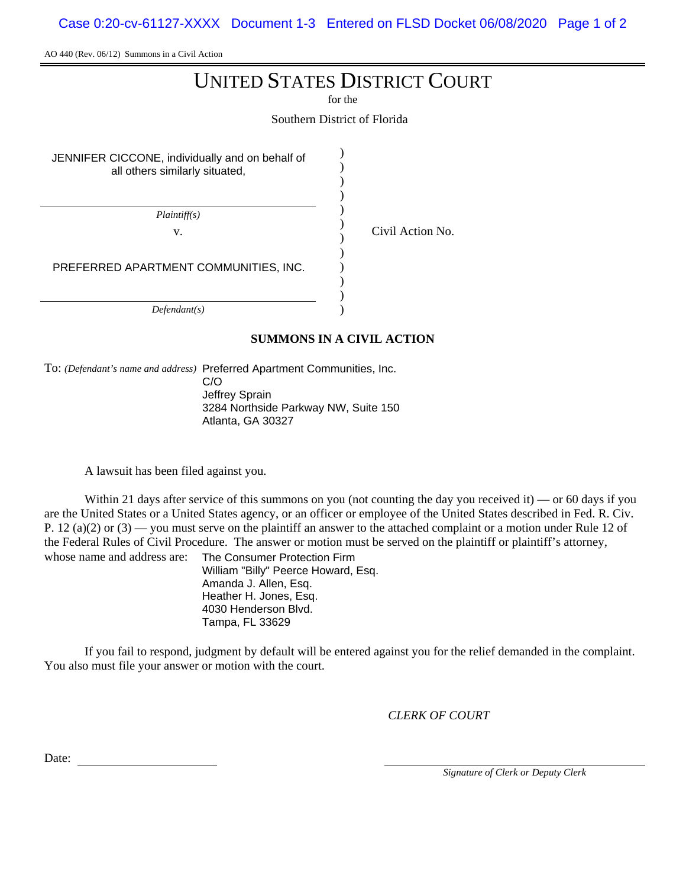Case 0:20-cv-61127-XXXX Document 1-3 Entered on FLSD Docket 06/08/2020 Page 1 of 2

AO 440 (Rev. 06/12) Summons in a Civil Action

# UNITED STATES DISTRICT COURT

for the

Southern District of Florida

) ) ) ) ) ) ) ) ) ) ) )

JENNIFER CICCONE, individually and on behalf of all others similarly situated,

*Plaintiff(s)*

v. Civil Action No.

PREFERRED APARTMENT COMMUNITIES, INC.

*Defendant(s)*

## **SUMMONS IN A CIVIL ACTION**

To: *(Defendant's name and address)* Preferred Apartment Communities, Inc.

C/O Jeffrey Sprain 3284 Northside Parkway NW, Suite 150 Atlanta, GA 30327

A lawsuit has been filed against you.

Within 21 days after service of this summons on you (not counting the day you received it) — or 60 days if you are the United States or a United States agency, or an officer or employee of the United States described in Fed. R. Civ. P. 12 (a)(2) or  $(3)$  — you must serve on the plaintiff an answer to the attached complaint or a motion under Rule 12 of the Federal Rules of Civil Procedure. The answer or motion must be served on the plaintiff or plaintiff's attorney, whose name and address are: The Consumer Protection Firm

William "Billy" Peerce Howard, Esq. Amanda J. Allen, Esq. Heather H. Jones, Esq. 4030 Henderson Blvd. Tampa, FL 33629

If you fail to respond, judgment by default will be entered against you for the relief demanded in the complaint. You also must file your answer or motion with the court.

*CLERK OF COURT*

Date:

*Signature of Clerk or Deputy Clerk*